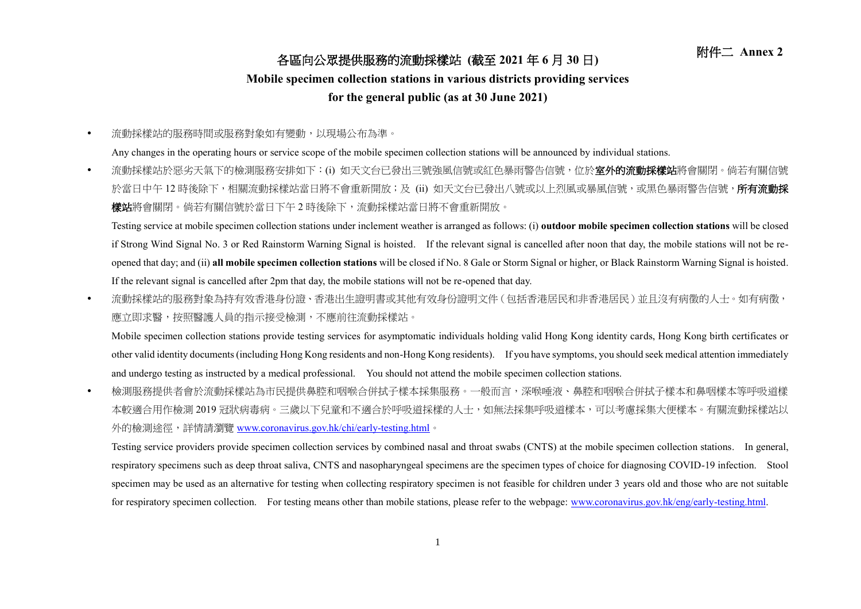## 附件二 **Annex <sup>2</sup>** 各區向公眾提供服務的流動採樣站 **(**截至 **<sup>2021</sup>** <sup>年</sup> **<sup>6</sup>** <sup>月</sup> **<sup>30</sup>** <sup>日</sup>**)**

## **Mobile specimen collection stations in various districts providing services**

## **for the general public (as at 30 June 2021)**

流動採樣站的服務時間或服務對象如有變動,以現場公布為準。

Any changes in the operating hours or service scope of the mobile specimen collection stations will be announced by individual stations.

• 流動採樣站於惡劣天氣下的檢測服務安排如下:(i) 如天文台已發出三號強風信號或紅色暴雨警告信號,位於**室外的流動採樣站**將會關閉。倘若有關信號 於當日中午 12 時後除下,相關流動採樣站當日將不會重新開放;及 (ii) 如天文台已發出八號或以上烈風或暴風信號,或黑色暴雨警告信號,**所有流動採** 樣站將會關閉。倘若有關信號於當日下午 2 時後除下,流動採樣站當日將不會重新開放。

Testing service at mobile specimen collection stations under inclement weather is arranged as follows: (i) **outdoor mobile specimen collection stations** will be closed if Strong Wind Signal No. 3 or Red Rainstorm Warning Signal is hoisted. If the relevant signal is cancelled after noon that day, the mobile stations will not be reopened that day; and (ii) **all mobile specimen collection stations** will be closed if No. 8 Gale or Storm Signal or higher, or Black Rainstorm Warning Signal is hoisted. If the relevant signal is cancelled after 2pm that day, the mobile stations will not be re-opened that day.

• 流動採樣站的服務對象為持有效香港身份證、香港出生證明書或其他有效身份證明文件(包括香港居民和非香港居民)並且沒有病徵的人士。如有病徵, 應立即求醫,按照醫護人員的指示接受檢測,不應前往流動採樣站。

Mobile specimen collection stations provide testing services for asymptomatic individuals holding valid Hong Kong identity cards, Hong Kong birth certificates or other valid identity documents (including Hong Kong residents and non-Hong Kong residents). If you have symptoms, you should seek medical attention immediately and undergo testing as instructed by a medical professional. You should not attend the mobile specimen collection stations.

 檢測服務提供者會於流動採樣站為市民提供鼻腔和咽喉合併拭子樣本採集服務。一般而言,深喉唾液、鼻腔和咽喉合併拭子樣本和鼻咽樣本等呼吸道樣 本較適合用作檢測 2019 冠狀病毒病。三歲以下兒童和不適合於呼吸道採樣的人士,如無法採集呼吸道樣本,可以考慮採集大便樣本。有關流動採樣站以 外的檢測途徑,詳情請瀏覽 [www.coronavirus.gov.hk/chi/early-testing.html](http://www.coronavirus.gov.hk/chi/early-​testing.html)。

Testing service providers provide specimen collection services by combined nasal and throat swabs (CNTS) at the mobile specimen collection stations. In general, respiratory specimens such as deep throat saliva, CNTS and nasopharyngeal specimens are the specimen types of choice for diagnosing COVID-19 infection. Stool specimen may be used as an alternative for testing when collecting respiratory specimen is not feasible for children under 3 years old and those who are not suitable for respiratory specimen collection. For testing means other than mobile stations, please refer to the webpage: [www.coronavirus.gov.hk/eng/early-testing.html.](http://www.coronavirus.gov.hk/eng/early-testing.html)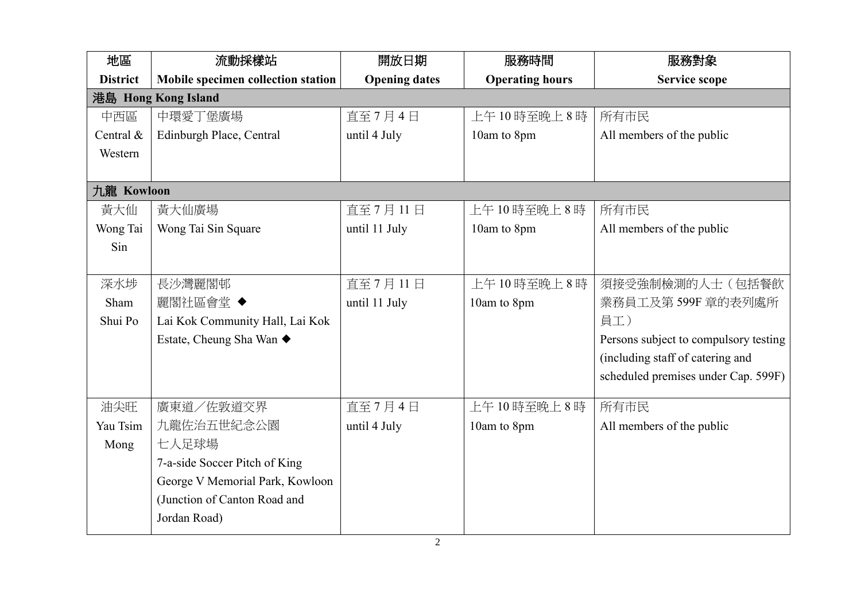| 地區              | 流動採樣站                              | 開放日期                 | 服務時間                   | 服務對象                                  |
|-----------------|------------------------------------|----------------------|------------------------|---------------------------------------|
| <b>District</b> | Mobile specimen collection station | <b>Opening dates</b> | <b>Operating hours</b> | <b>Service scope</b>                  |
|                 | 港島 Hong Kong Island                |                      |                        |                                       |
| 中西區             | 中環愛丁堡廣場                            | 直至7月4日               | 上午10時至晚上8時             | 所有市民                                  |
| Central &       | Edinburgh Place, Central           | until 4 July         | 10am to 8pm            | All members of the public             |
| Western         |                                    |                      |                        |                                       |
|                 |                                    |                      |                        |                                       |
| 九龍 Kowloon      |                                    |                      |                        |                                       |
| 黃大仙             | 黃大仙廣場                              | 直至7月11日              | 上午10時至晚上8時             | 所有市民                                  |
| Wong Tai        | Wong Tai Sin Square                | until 11 July        | 10am to 8pm            | All members of the public             |
| Sin             |                                    |                      |                        |                                       |
|                 |                                    |                      |                        |                                       |
| 深水埗             | 長沙灣麗閣邨                             | 直至7月11日              | 上午10時至晚上8時             | 須接受強制檢測的人士(包括餐飲                       |
| Sham            | 麗閣社區會堂 ◆                           | until 11 July        | 10am to 8pm            | 業務員工及第599F 章的表列處所                     |
| Shui Po         | Lai Kok Community Hall, Lai Kok    |                      |                        | 員工)                                   |
|                 | Estate, Cheung Sha Wan ◆           |                      |                        | Persons subject to compulsory testing |
|                 |                                    |                      |                        | (including staff of catering and      |
|                 |                                    |                      |                        | scheduled premises under Cap. 599F)   |
| 油尖旺             | 廣東道/佐敦道交界                          | 直至7月4日               | 上午10時至晚上8時             | 所有市民                                  |
| Yau Tsim        | 九龍佐治五世紀念公園                         | until 4 July         | 10am to 8pm            | All members of the public             |
| Mong            | 七人足球場                              |                      |                        |                                       |
|                 | 7-a-side Soccer Pitch of King      |                      |                        |                                       |
|                 | George V Memorial Park, Kowloon    |                      |                        |                                       |
|                 | (Junction of Canton Road and       |                      |                        |                                       |
|                 | Jordan Road)                       |                      |                        |                                       |
|                 |                                    |                      |                        |                                       |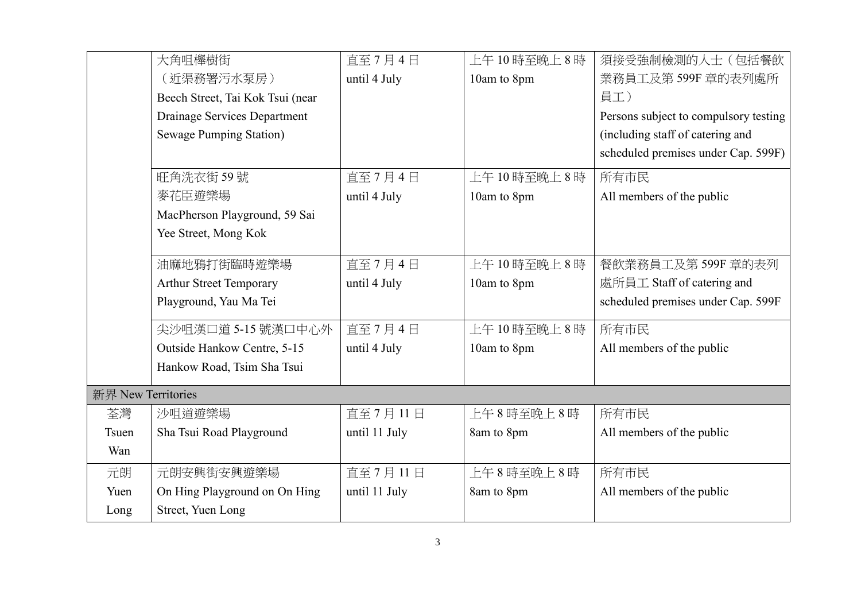|                    | 大角咀櫸樹街                           | 直至7月4日        | 上午10時至晚上8時  | 須接受強制檢測的人士(包括餐飲                       |
|--------------------|----------------------------------|---------------|-------------|---------------------------------------|
|                    | (近渠務署污水泵房)                       | until 4 July  | 10am to 8pm | 業務員工及第599F 章的表列處所                     |
|                    | Beech Street, Tai Kok Tsui (near |               |             | 員工)                                   |
|                    | Drainage Services Department     |               |             | Persons subject to compulsory testing |
|                    | <b>Sewage Pumping Station)</b>   |               |             | (including staff of catering and      |
|                    |                                  |               |             | scheduled premises under Cap. 599F)   |
|                    | 旺角洗衣街 59號                        | 直至7月4日        | 上午10時至晚上8時  | 所有市民                                  |
|                    | 麥花臣遊樂場                           | until 4 July  | 10am to 8pm | All members of the public             |
|                    | MacPherson Playground, 59 Sai    |               |             |                                       |
|                    | Yee Street, Mong Kok             |               |             |                                       |
|                    | 油麻地鴉打街臨時遊樂場                      | 直至7月4日        | 上午10時至晚上8時  | 餐飲業務員工及第599F 章的表列                     |
|                    | <b>Arthur Street Temporary</b>   | until 4 July  | 10am to 8pm | 處所員工 Staff of catering and            |
|                    | Playground, Yau Ma Tei           |               |             | scheduled premises under Cap. 599F    |
|                    | 尖沙咀漢口道 5-15 號漢口中心外               | 直至7月4日        | 上午10時至晚上8時  | 所有市民                                  |
|                    | Outside Hankow Centre, 5-15      | until 4 July  | 10am to 8pm | All members of the public             |
|                    | Hankow Road, Tsim Sha Tsui       |               |             |                                       |
| 新界 New Territories |                                  |               |             |                                       |
| 荃灣                 | 沙咀道遊樂場                           | 直至7月11日       | 上午8時至晚上8時   | 所有市民                                  |
| Tsuen              | Sha Tsui Road Playground         | until 11 July | 8am to 8pm  | All members of the public             |
| Wan                |                                  |               |             |                                       |
| 元朗                 | 元朗安興街安興遊樂場                       | 直至7月11日       | 上午8時至晚上8時   | 所有市民                                  |
| Yuen               | On Hing Playground on On Hing    | until 11 July | 8am to 8pm  | All members of the public             |
| Long               | Street, Yuen Long                |               |             |                                       |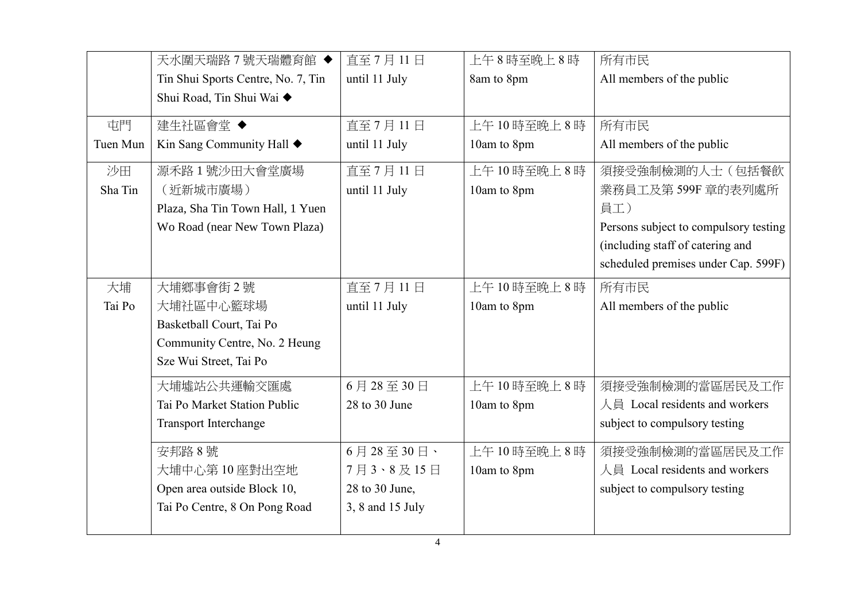|          | 天水圍天瑞路7號天瑞體育館◆                     | 直至7月11日           | 上午8時至晚上8時   | 所有市民                                  |
|----------|------------------------------------|-------------------|-------------|---------------------------------------|
|          | Tin Shui Sports Centre, No. 7, Tin | until 11 July     | 8am to 8pm  | All members of the public             |
|          | Shui Road, Tin Shui Wai ◆          |                   |             |                                       |
| 屯門       | 建生社區會堂◆                            | 直至7月11日           | 上午10時至晚上8時  | 所有市民                                  |
| Tuen Mun | Kin Sang Community Hall ◆          | until 11 July     | 10am to 8pm | All members of the public             |
| 沙田       | 源禾路1號沙田大會堂廣場                       | 直至7月11日           | 上午10時至晚上8時  | 須接受強制檢測的人士(包括餐飲                       |
| Sha Tin  | (近新城市廣場)                           | until 11 July     | 10am to 8pm | 業務員工及第599F 章的表列處所                     |
|          | Plaza, Sha Tin Town Hall, 1 Yuen   |                   |             | 員工)                                   |
|          | Wo Road (near New Town Plaza)      |                   |             | Persons subject to compulsory testing |
|          |                                    |                   |             | (including staff of catering and      |
|          |                                    |                   |             | scheduled premises under Cap. 599F)   |
| 大埔       | 大埔鄉事會街2號                           | 直至7月11日           | 上午10時至晚上8時  | 所有市民                                  |
| Tai Po   | 大埔社區中心籃球場                          | until 11 July     | 10am to 8pm | All members of the public             |
|          | Basketball Court, Tai Po           |                   |             |                                       |
|          | Community Centre, No. 2 Heung      |                   |             |                                       |
|          | Sze Wui Street, Tai Po             |                   |             |                                       |
|          | 大埔墟站公共運輸交匯處                        | 6月28至30日          | 上午10時至晚上8時  | 須接受強制檢測的當區居民及工作                       |
|          | Tai Po Market Station Public       | $28$ to $30$ June | 10am to 8pm | 人員 Local residents and workers        |
|          | Transport Interchange              |                   |             | subject to compulsory testing         |
|          | 安邦路 8號                             | $6$ 月28至30日、      | 上午10時至晚上8時  | 須接受強制檢測的當區居民及工作                       |
|          | 大埔中心第10座對出空地                       | 7月3、8及15日         | 10am to 8pm | 人員 Local residents and workers        |
|          | Open area outside Block 10,        | 28 to 30 June,    |             | subject to compulsory testing         |
|          | Tai Po Centre, 8 On Pong Road      | 3, 8 and 15 July  |             |                                       |
|          |                                    |                   |             |                                       |